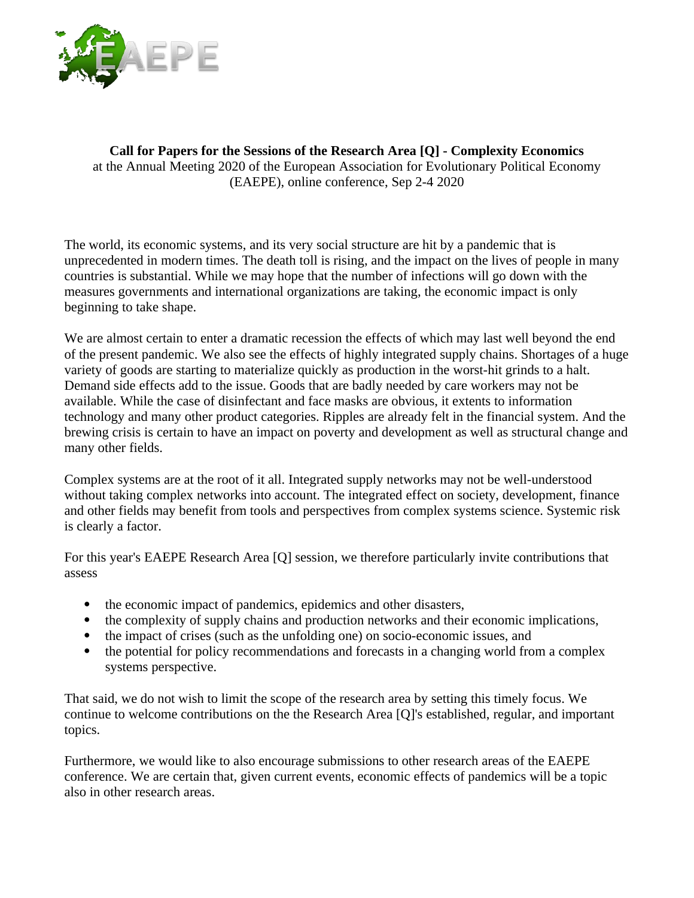

**Call for Papers for the Sessions of the Research Area [Q] - Complexity Economics** at the Annual Meeting 2020 of the European Association for Evolutionary Political Economy (EAEPE), online conference, Sep 2-4 2020

The world, its economic systems, and its very social structure are hit by a pandemic that is unprecedented in modern times. The death toll is rising, and the impact on the lives of people in many countries is substantial. While we may hope that the number of infections will go down with the measures governments and international organizations are taking, the economic impact is only beginning to take shape.

We are almost certain to enter a dramatic recession the effects of which may last well beyond the end of the present pandemic. We also see the effects of highly integrated supply chains. Shortages of a huge variety of goods are starting to materialize quickly as production in the worst-hit grinds to a halt. Demand side effects add to the issue. Goods that are badly needed by care workers may not be available. While the case of disinfectant and face masks are obvious, it extents to information technology and many other product categories. Ripples are already felt in the financial system. And the brewing crisis is certain to have an impact on poverty and development as well as structural change and many other fields.

Complex systems are at the root of it all. Integrated supply networks may not be well-understood without taking complex networks into account. The integrated effect on society, development, finance and other fields may benefit from tools and perspectives from complex systems science. Systemic risk is clearly a factor.

For this year's EAEPE Research Area [Q] session, we therefore particularly invite contributions that assess

- the economic impact of pandemics, epidemics and other disasters,
- the complexity of supply chains and production networks and their economic implications,
- the impact of crises (such as the unfolding one) on socio-economic issues, and
- the potential for policy recommendations and forecasts in a changing world from a complex systems perspective.

That said, we do not wish to limit the scope of the research area by setting this timely focus. We continue to welcome contributions on the the Research Area [Q]'s established, regular, and important topics.

Furthermore, we would like to also encourage submissions to other research areas of the EAEPE conference. We are certain that, given current events, economic effects of pandemics will be a topic also in other research areas.